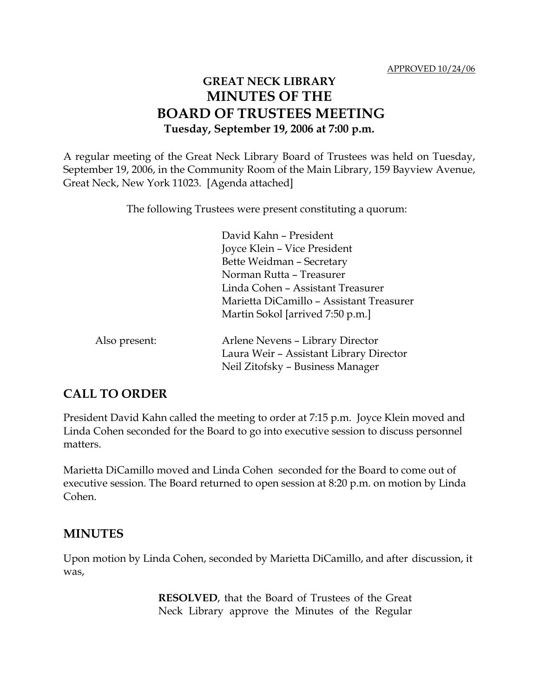# **GREAT NECK LIBRARY MINUTES OF THE BOARD OF TRUSTEES MEETING Tuesday, September 19, 2006 at 7:00 p.m.**

A regular meeting of the Great Neck Library Board of Trustees was held on Tuesday, September 19, 2006, in the Community Room of the Main Library, 159 Bayview Avenue, Great Neck, New York 11023. [Agenda attached]

The following Trustees were present constituting a quorum:

|               | David Kahn - President                   |
|---------------|------------------------------------------|
|               | Joyce Klein - Vice President             |
|               | Bette Weidman - Secretary                |
|               | Norman Rutta - Treasurer                 |
|               | Linda Cohen – Assistant Treasurer        |
|               | Marietta DiCamillo - Assistant Treasurer |
|               | Martin Sokol [arrived 7:50 p.m.]         |
| Also present: | Arlene Nevens - Library Director         |
|               | Laura Weir - Assistant Library Director  |
|               | Neil Zitofsky - Business Manager         |

# **CALL TO ORDER**

President David Kahn called the meeting to order at 7:15 p.m. Joyce Klein moved and Linda Cohen seconded for the Board to go into executive session to discuss personnel matters.

Marietta DiCamillo moved and Linda Cohen seconded for the Board to come out of executive session. The Board returned to open session at 8:20 p.m. on motion by Linda Cohen.

## **MINUTES**

Upon motion by Linda Cohen, seconded by Marietta DiCamillo, and after discussion, it was,

> **RESOLVED**, that the Board of Trustees of the Great Neck Library approve the Minutes of the Regular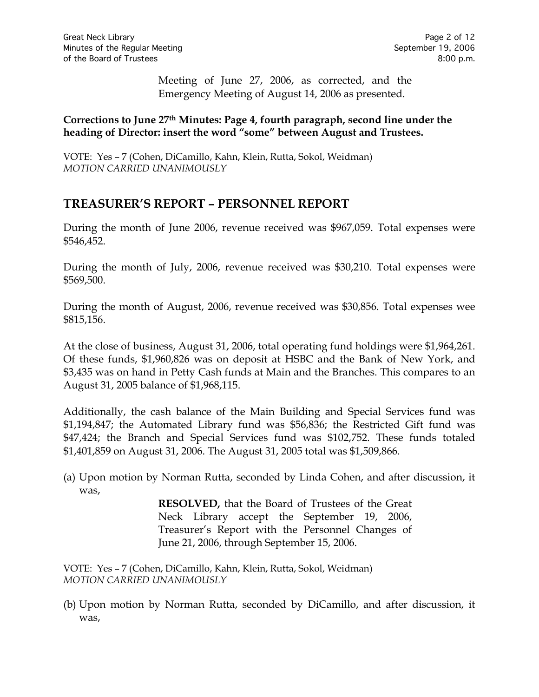Meeting of June 27, 2006, as corrected, and the Emergency Meeting of August 14, 2006 as presented.

### **Corrections to June 27th Minutes: Page 4, fourth paragraph, second line under the heading of Director: insert the word "some" between August and Trustees.**

VOTE:Yes – 7 (Cohen, DiCamillo, Kahn, Klein, Rutta, Sokol, Weidman) *MOTION CARRIED UNANIMOUSLY*

# **TREASURER'S REPORT – PERSONNEL REPORT**

During the month of June 2006, revenue received was \$967,059. Total expenses were \$546,452.

During the month of July, 2006, revenue received was \$30,210. Total expenses were \$569,500.

During the month of August, 2006, revenue received was \$30,856. Total expenses wee \$815,156.

At the close of business, August 31, 2006, total operating fund holdings were \$1,964,261. Of these funds, \$1,960,826 was on deposit at HSBC and the Bank of New York, and \$3,435 was on hand in Petty Cash funds at Main and the Branches. This compares to an August 31, 2005 balance of \$1,968,115.

Additionally, the cash balance of the Main Building and Special Services fund was \$1,194,847; the Automated Library fund was \$56,836; the Restricted Gift fund was \$47,424; the Branch and Special Services fund was \$102,752. These funds totaled \$1,401,859 on August 31, 2006. The August 31, 2005 total was \$1,509,866.

(a) Upon motion by Norman Rutta, seconded by Linda Cohen, and after discussion, it was,

> **RESOLVED,** that the Board of Trustees of the Great Neck Library accept the September 19, 2006, Treasurer's Report with the Personnel Changes of June 21, 2006, through September 15, 2006.

VOTE:Yes – 7 (Cohen, DiCamillo, Kahn, Klein, Rutta, Sokol, Weidman) *MOTION CARRIED UNANIMOUSLY*

(b) Upon motion by Norman Rutta, seconded by DiCamillo, and after discussion, it was,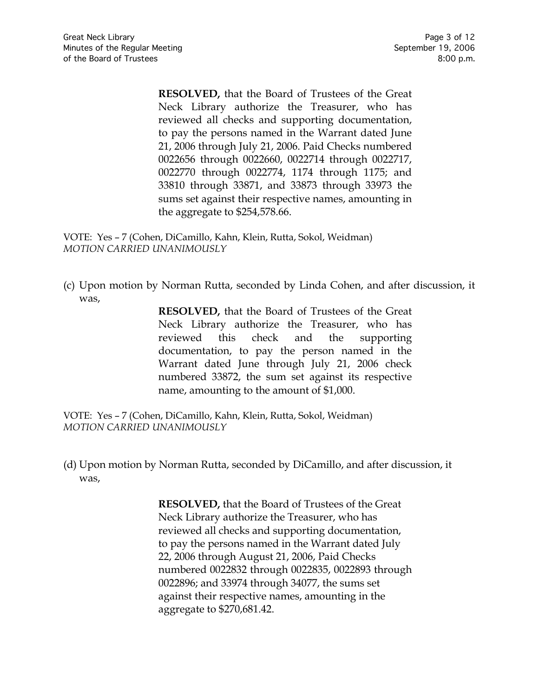**RESOLVED,** that the Board of Trustees of the Great Neck Library authorize the Treasurer, who has reviewed all checks and supporting documentation, to pay the persons named in the Warrant dated June 21, 2006 through July 21, 2006. Paid Checks numbered 0022656 through 0022660, 0022714 through 0022717, 0022770 through 0022774, 1174 through 1175; and 33810 through 33871, and 33873 through 33973 the sums set against their respective names, amounting in the aggregate to \$254,578.66.

VOTE:Yes – 7 (Cohen, DiCamillo, Kahn, Klein, Rutta, Sokol, Weidman) *MOTION CARRIED UNANIMOUSLY*

(c) Upon motion by Norman Rutta, seconded by Linda Cohen, and after discussion, it was,

> **RESOLVED,** that the Board of Trustees of the Great Neck Library authorize the Treasurer, who has reviewed this check and the supporting documentation, to pay the person named in the Warrant dated June through July 21, 2006 check numbered 33872, the sum set against its respective name, amounting to the amount of \$1,000.

VOTE:Yes – 7 (Cohen, DiCamillo, Kahn, Klein, Rutta, Sokol, Weidman) *MOTION CARRIED UNANIMOUSLY*

(d) Upon motion by Norman Rutta, seconded by DiCamillo, and after discussion, it was,

> **RESOLVED,** that the Board of Trustees of the Great Neck Library authorize the Treasurer, who has reviewed all checks and supporting documentation, to pay the persons named in the Warrant dated July 22, 2006 through August 21, 2006, Paid Checks numbered 0022832 through 0022835, 0022893 through 0022896; and 33974 through 34077, the sums set against their respective names, amounting in the aggregate to \$270,681.42.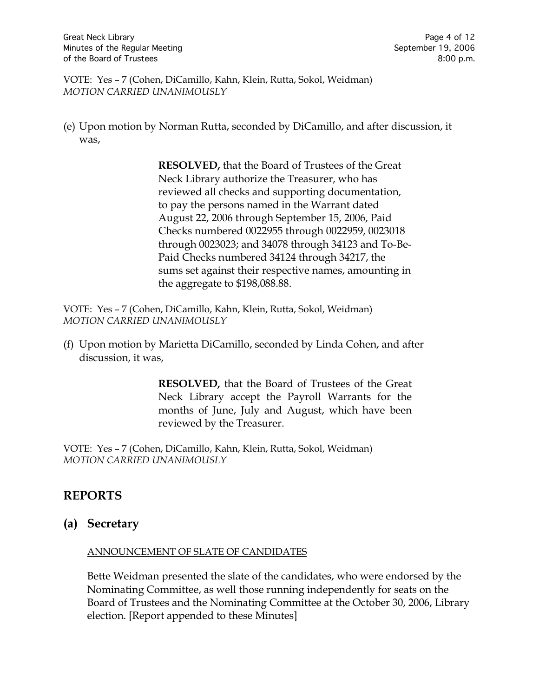VOTE:Yes – 7 (Cohen, DiCamillo, Kahn, Klein, Rutta, Sokol, Weidman) *MOTION CARRIED UNANIMOUSLY*

(e) Upon motion by Norman Rutta, seconded by DiCamillo, and after discussion, it was,

> **RESOLVED,** that the Board of Trustees of the Great Neck Library authorize the Treasurer, who has reviewed all checks and supporting documentation, to pay the persons named in the Warrant dated August 22, 2006 through September 15, 2006, Paid Checks numbered 0022955 through 0022959, 0023018 through 0023023; and 34078 through 34123 and To-Be-Paid Checks numbered 34124 through 34217, the sums set against their respective names, amounting in the aggregate to \$198,088.88.

VOTE:Yes – 7 (Cohen, DiCamillo, Kahn, Klein, Rutta, Sokol, Weidman) *MOTION CARRIED UNANIMOUSLY*

(f) Upon motion by Marietta DiCamillo, seconded by Linda Cohen, and after discussion, it was,

> **RESOLVED,** that the Board of Trustees of the Great Neck Library accept the Payroll Warrants for the months of June, July and August, which have been reviewed by the Treasurer.

VOTE:Yes – 7 (Cohen, DiCamillo, Kahn, Klein, Rutta, Sokol, Weidman) *MOTION CARRIED UNANIMOUSLY*

# **REPORTS**

## **(a) Secretary**

#### ANNOUNCEMENT OF SLATE OF CANDIDATES

Bette Weidman presented the slate of the candidates, who were endorsed by the Nominating Committee, as well those running independently for seats on the Board of Trustees and the Nominating Committee at the October 30, 2006, Library election. [Report appended to these Minutes]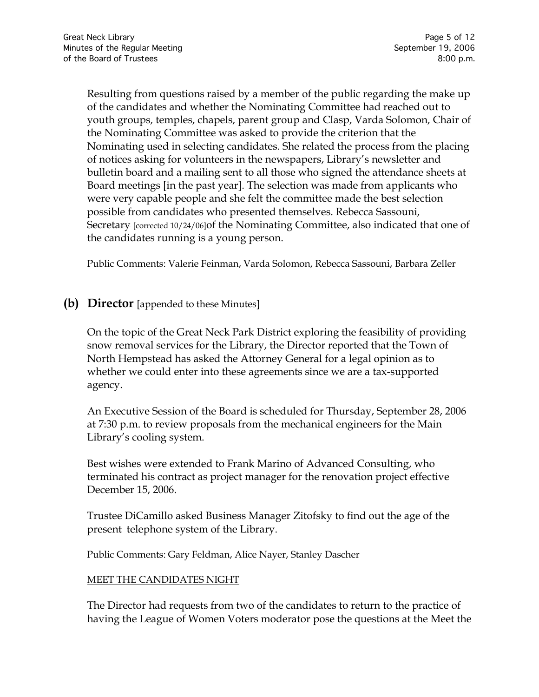Resulting from questions raised by a member of the public regarding the make up of the candidates and whether the Nominating Committee had reached out to youth groups, temples, chapels, parent group and Clasp, Varda Solomon, Chair of the Nominating Committee was asked to provide the criterion that the Nominating used in selecting candidates. She related the process from the placing of notices asking for volunteers in the newspapers, Library's newsletter and bulletin board and a mailing sent to all those who signed the attendance sheets at Board meetings [in the past year]. The selection was made from applicants who were very capable people and she felt the committee made the best selection possible from candidates who presented themselves. Rebecca Sassouni, Secretary [corrected 10/24/06]of the Nominating Committee, also indicated that one of the candidates running is a young person.

Public Comments: Valerie Feinman, Varda Solomon, Rebecca Sassouni, Barbara Zeller

### **(b) Director** [appended to these Minutes]

On the topic of the Great Neck Park District exploring the feasibility of providing snow removal services for the Library, the Director reported that the Town of North Hempstead has asked the Attorney General for a legal opinion as to whether we could enter into these agreements since we are a tax-supported agency.

An Executive Session of the Board is scheduled for Thursday, September 28, 2006 at 7:30 p.m. to review proposals from the mechanical engineers for the Main Library's cooling system.

Best wishes were extended to Frank Marino of Advanced Consulting, who terminated his contract as project manager for the renovation project effective December 15, 2006.

Trustee DiCamillo asked Business Manager Zitofsky to find out the age of the present telephone system of the Library.

Public Comments: Gary Feldman, Alice Nayer, Stanley Dascher

#### MEET THE CANDIDATES NIGHT

The Director had requests from two of the candidates to return to the practice of having the League of Women Voters moderator pose the questions at the Meet the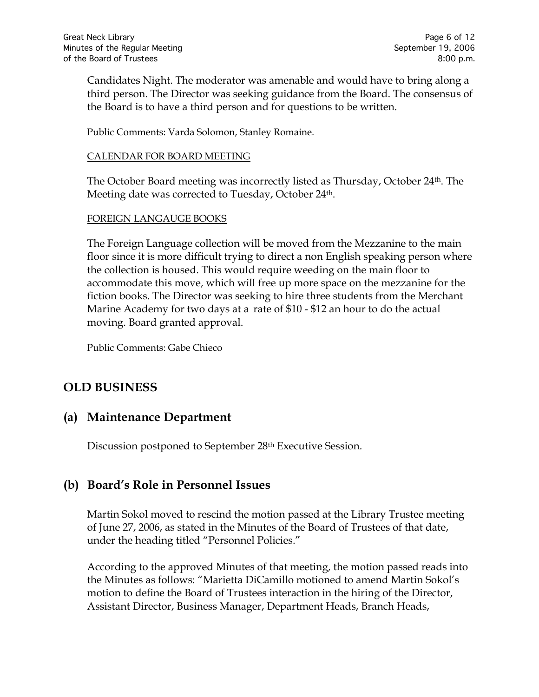Candidates Night. The moderator was amenable and would have to bring along a third person. The Director was seeking guidance from the Board. The consensus of the Board is to have a third person and for questions to be written.

Public Comments: Varda Solomon, Stanley Romaine.

#### CALENDAR FOR BOARD MEETING

The October Board meeting was incorrectly listed as Thursday, October 24th. The Meeting date was corrected to Tuesday, October 24<sup>th</sup>.

#### FOREIGN LANGAUGE BOOKS

The Foreign Language collection will be moved from the Mezzanine to the main floor since it is more difficult trying to direct a non English speaking person where the collection is housed. This would require weeding on the main floor to accommodate this move, which will free up more space on the mezzanine for the fiction books. The Director was seeking to hire three students from the Merchant Marine Academy for two days at a rate of \$10 - \$12 an hour to do the actual moving. Board granted approval.

Public Comments: Gabe Chieco

## **OLD BUSINESS**

## **(a) Maintenance Department**

Discussion postponed to September 28th Executive Session.

# **(b) Board's Role in Personnel Issues**

Martin Sokol moved to rescind the motion passed at the Library Trustee meeting of June 27, 2006, as stated in the Minutes of the Board of Trustees of that date, under the heading titled "Personnel Policies."

According to the approved Minutes of that meeting, the motion passed reads into the Minutes as follows: "Marietta DiCamillo motioned to amend Martin Sokol's motion to define the Board of Trustees interaction in the hiring of the Director, Assistant Director, Business Manager, Department Heads, Branch Heads,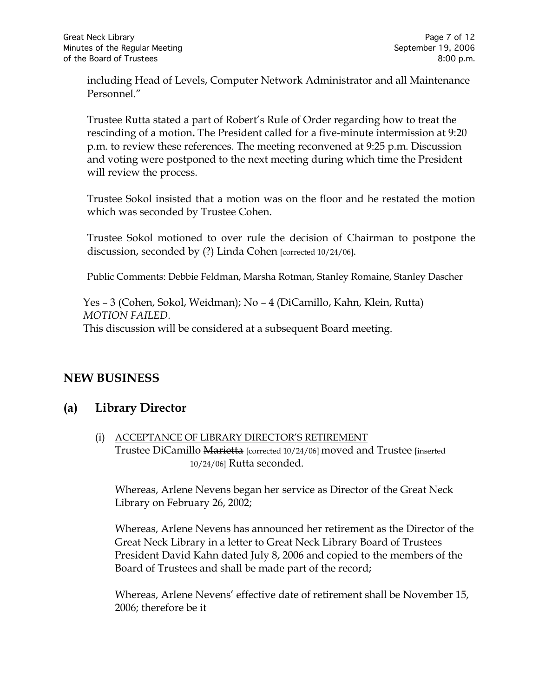including Head of Levels, Computer Network Administrator and all Maintenance Personnel."

Trustee Rutta stated a part of Robert's Rule of Order regarding how to treat the rescinding of a motion**.** The President called for a five-minute intermission at 9:20 p.m. to review these references. The meeting reconvened at 9:25 p.m. Discussion and voting were postponed to the next meeting during which time the President will review the process.

Trustee Sokol insisted that a motion was on the floor and he restated the motion which was seconded by Trustee Cohen.

Trustee Sokol motioned to over rule the decision of Chairman to postpone the discussion, seconded by (?) Linda Cohen [corrected 10/24/06].

Public Comments: Debbie Feldman, Marsha Rotman, Stanley Romaine, Stanley Dascher

Yes – 3 (Cohen, Sokol, Weidman); No – 4 (DiCamillo, Kahn, Klein, Rutta) *MOTION FAILED.*  This discussion will be considered at a subsequent Board meeting.

## **NEW BUSINESS**

## **(a) Library Director**

(i) ACCEPTANCE OF LIBRARY DIRECTOR'S RETIREMENT Trustee DiCamillo Marietta [corrected 10/24/06] moved and Trustee [inserted 10/24/06] Rutta seconded.

Whereas, Arlene Nevens began her service as Director of the Great Neck Library on February 26, 2002;

Whereas, Arlene Nevens has announced her retirement as the Director of the Great Neck Library in a letter to Great Neck Library Board of Trustees President David Kahn dated July 8, 2006 and copied to the members of the Board of Trustees and shall be made part of the record;

Whereas, Arlene Nevens' effective date of retirement shall be November 15, 2006; therefore be it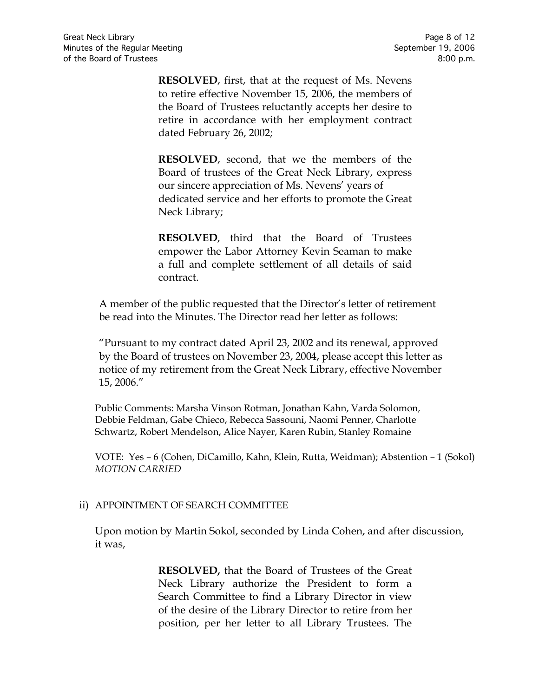**RESOLVED**, first, that at the request of Ms. Nevens to retire effective November 15, 2006, the members of the Board of Trustees reluctantly accepts her desire to retire in accordance with her employment contract dated February 26, 2002;

**RESOLVED**, second, that we the members of the Board of trustees of the Great Neck Library, express our sincere appreciation of Ms. Nevens' years of dedicated service and her efforts to promote the Great Neck Library;

**RESOLVED**, third that the Board of Trustees empower the Labor Attorney Kevin Seaman to make a full and complete settlement of all details of said contract.

A member of the public requested that the Director's letter of retirement be read into the Minutes. The Director read her letter as follows:

"Pursuant to my contract dated April 23, 2002 and its renewal, approved by the Board of trustees on November 23, 2004, please accept this letter as notice of my retirement from the Great Neck Library, effective November 15, 2006."

Public Comments: Marsha Vinson Rotman, Jonathan Kahn, Varda Solomon, Debbie Feldman, Gabe Chieco, Rebecca Sassouni, Naomi Penner, Charlotte Schwartz, Robert Mendelson, Alice Nayer, Karen Rubin, Stanley Romaine

VOTE:Yes – 6 (Cohen, DiCamillo, Kahn, Klein, Rutta, Weidman); Abstention – 1 (Sokol) *MOTION CARRIED*

### ii) APPOINTMENT OF SEARCH COMMITTEE

Upon motion by Martin Sokol, seconded by Linda Cohen, and after discussion, it was,

> **RESOLVED,** that the Board of Trustees of the Great Neck Library authorize the President to form a Search Committee to find a Library Director in view of the desire of the Library Director to retire from her position, per her letter to all Library Trustees. The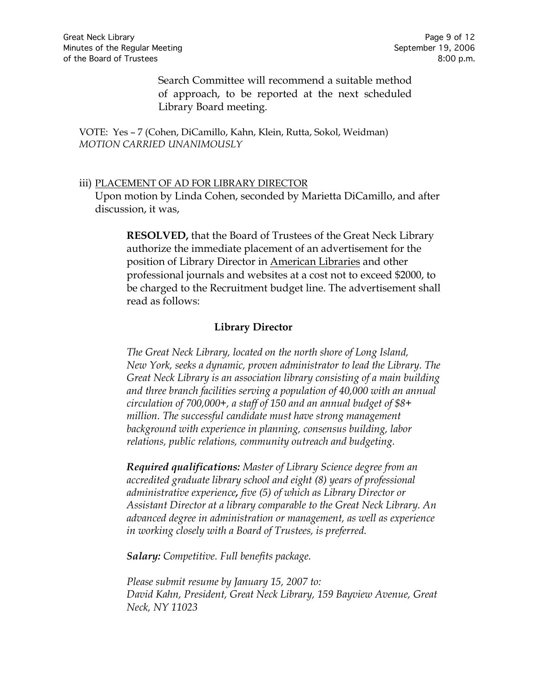Search Committee will recommend a suitable method of approach, to be reported at the next scheduled Library Board meeting.

VOTE:Yes – 7 (Cohen, DiCamillo, Kahn, Klein, Rutta, Sokol, Weidman) *MOTION CARRIED UNANIMOUSLY*

#### iii) PLACEMENT OF AD FOR LIBRARY DIRECTOR

Upon motion by Linda Cohen, seconded by Marietta DiCamillo, and after discussion, it was,

**RESOLVED,** that the Board of Trustees of the Great Neck Library authorize the immediate placement of an advertisement for the position of Library Director in American Libraries and other professional journals and websites at a cost not to exceed \$2000, to be charged to the Recruitment budget line. The advertisement shall read as follows:

#### **Library Director**

*The Great Neck Library, located on the north shore of Long Island, New York, seeks a dynamic, proven administrator to lead the Library. The Great Neck Library is an association library consisting of a main building and three branch facilities serving a population of 40,000 with an annual circulation of 700,000+, a staff of 150 and an annual budget of \$8+ million. The successful candidate must have strong management background with experience in planning, consensus building, labor relations, public relations, community outreach and budgeting.*

*Required qualifications: Master of Library Science degree from an accredited graduate library school and eight (8) years of professional administrative experience, five (5) of which as Library Director or Assistant Director at a library comparable to the Great Neck Library. An advanced degree in administration or management, as well as experience in working closely with a Board of Trustees, is preferred.*

*Salary: Competitive. Full benefits package.*

*Please submit resume by January 15, 2007 to: David Kahn, President, Great Neck Library, 159 Bayview Avenue, Great Neck, NY 11023*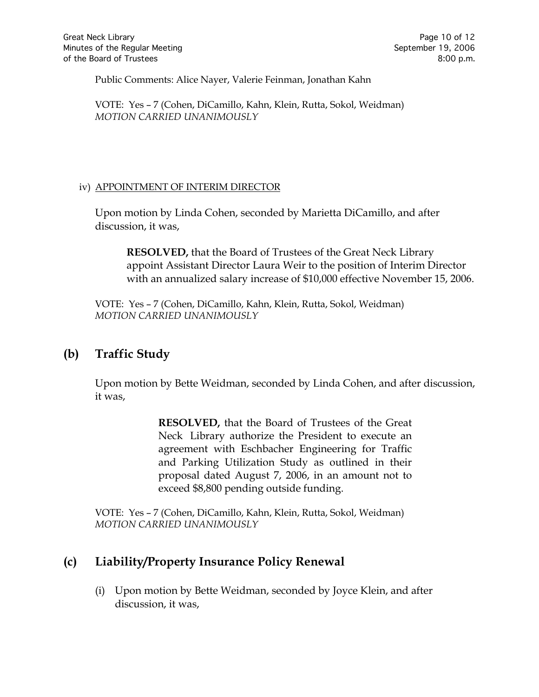Public Comments: Alice Nayer, Valerie Feinman, Jonathan Kahn

VOTE:Yes – 7 (Cohen, DiCamillo, Kahn, Klein, Rutta, Sokol, Weidman) *MOTION CARRIED UNANIMOUSLY*

#### iv) APPOINTMENT OF INTERIM DIRECTOR

Upon motion by Linda Cohen, seconded by Marietta DiCamillo, and after discussion, it was,

**RESOLVED,** that the Board of Trustees of the Great Neck Library appoint Assistant Director Laura Weir to the position of Interim Director with an annualized salary increase of \$10,000 effective November 15, 2006.

VOTE:Yes – 7 (Cohen, DiCamillo, Kahn, Klein, Rutta, Sokol, Weidman) *MOTION CARRIED UNANIMOUSLY*

## **(b) Traffic Study**

Upon motion by Bette Weidman, seconded by Linda Cohen, and after discussion, it was,

> **RESOLVED,** that the Board of Trustees of the Great Neck Library authorize the President to execute an agreement with Eschbacher Engineering for Traffic and Parking Utilization Study as outlined in their proposal dated August 7, 2006, in an amount not to exceed \$8,800 pending outside funding.

VOTE:Yes – 7 (Cohen, DiCamillo, Kahn, Klein, Rutta, Sokol, Weidman) *MOTION CARRIED UNANIMOUSLY*

# **(c) Liability/Property Insurance Policy Renewal**

(i) Upon motion by Bette Weidman, seconded by Joyce Klein, and after discussion, it was,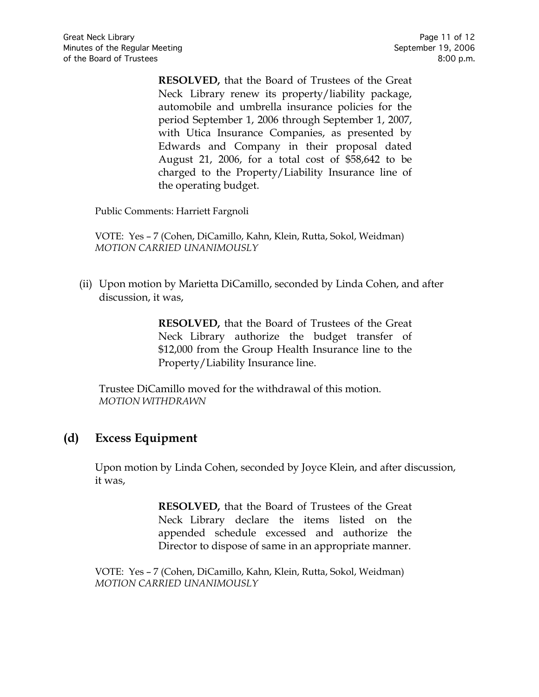**RESOLVED,** that the Board of Trustees of the Great Neck Library renew its property/liability package, automobile and umbrella insurance policies for the period September 1, 2006 through September 1, 2007, with Utica Insurance Companies, as presented by Edwards and Company in their proposal dated August 21, 2006, for a total cost of \$58,642 to be charged to the Property/Liability Insurance line of the operating budget.

Public Comments: Harriett Fargnoli

VOTE:Yes – 7 (Cohen, DiCamillo, Kahn, Klein, Rutta, Sokol, Weidman) *MOTION CARRIED UNANIMOUSLY*

(ii) Upon motion by Marietta DiCamillo, seconded by Linda Cohen, and after discussion, it was,

> **RESOLVED,** that the Board of Trustees of the Great Neck Library authorize the budget transfer of \$12,000 from the Group Health Insurance line to the Property/Liability Insurance line.

Trustee DiCamillo moved for the withdrawal of this motion. *MOTION WITHDRAWN* 

# **(d) Excess Equipment**

Upon motion by Linda Cohen, seconded by Joyce Klein, and after discussion, it was,

> **RESOLVED,** that the Board of Trustees of the Great Neck Library declare the items listed on the appended schedule excessed and authorize the Director to dispose of same in an appropriate manner.

VOTE:Yes – 7 (Cohen, DiCamillo, Kahn, Klein, Rutta, Sokol, Weidman) *MOTION CARRIED UNANIMOUSLY*